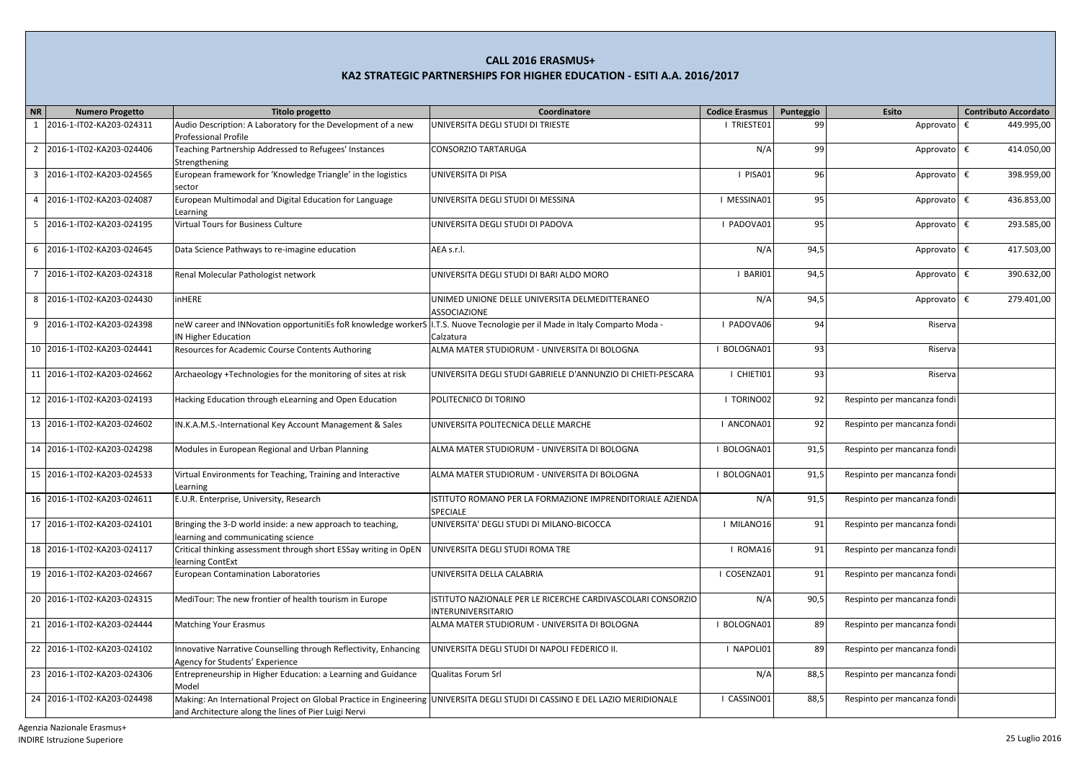| $N$ R          | <b>Numero Progetto</b>      | <b>Titolo progetto</b>                                                                                                       | Coordinatore                                                 | <b>Codice Erasmus</b> | Punteggio | Esito                       | <b>Contributo Accordato</b> |
|----------------|-----------------------------|------------------------------------------------------------------------------------------------------------------------------|--------------------------------------------------------------|-----------------------|-----------|-----------------------------|-----------------------------|
|                | 2016-1-IT02-KA203-024311    | Audio Description: A Laboratory for the Development of a new                                                                 | UNIVERSITA DEGLI STUDI DI TRIESTE                            | I TRIESTE01           | 99        | Approvato                   | 449.995,00<br>€             |
|                |                             | <b>Professional Profile</b>                                                                                                  |                                                              |                       |           |                             |                             |
| $\overline{2}$ | 2016-1-IT02-KA203-024406    | Teaching Partnership Addressed to Refugees' Instances                                                                        | CONSORZIO TARTARUGA                                          | N/A                   | 99        | Approvato                   | 414.050,00<br>€             |
|                |                             | Strengthening                                                                                                                |                                                              |                       |           |                             |                             |
|                | 3 2016-1-IT02-KA203-024565  | European framework for 'Knowledge Triangle' in the logistics                                                                 | UNIVERSITA DI PISA                                           | I PISA01              | 96        | Approvato €                 | 398.959,00                  |
|                |                             | sector                                                                                                                       |                                                              |                       |           |                             |                             |
| 4              | 2016-1-IT02-KA203-024087    | European Multimodal and Digital Education for Language                                                                       | UNIVERSITA DEGLI STUDI DI MESSINA                            | I MESSINA01           | 95        | Approvato €                 | 436.853,00                  |
|                |                             | Learning                                                                                                                     |                                                              |                       |           |                             |                             |
|                | 5 2016-1-IT02-KA203-024195  | Virtual Tours for Business Culture                                                                                           | UNIVERSITA DEGLI STUDI DI PADOVA                             | I PADOVA01            | 95        | Approvato €                 | 293.585,00                  |
|                |                             |                                                                                                                              |                                                              |                       |           |                             |                             |
|                | 6 2016-1-IT02-KA203-024645  | Data Science Pathways to re-imagine education                                                                                | AEA s.r.l.                                                   | N/A                   | 94,5      | Approvato €                 | 417.503,00                  |
|                |                             |                                                                                                                              |                                                              |                       |           |                             |                             |
| 7              | 2016-1-IT02-KA203-024318    | Renal Molecular Pathologist network                                                                                          | UNIVERSITA DEGLI STUDI DI BARI ALDO MORO                     | I BARIO1              | 94,5      | Approvato €                 | 390.632,00                  |
|                |                             |                                                                                                                              |                                                              |                       |           |                             |                             |
| 8              | 2016-1-IT02-KA203-024430    | <b>inHERE</b>                                                                                                                | UNIMED UNIONE DELLE UNIVERSITA DELMEDITTERANEO               | N/A                   | 94,5      | Approvato                   | €<br>279.401,00             |
|                |                             |                                                                                                                              | ASSOCIAZIONE                                                 |                       |           |                             |                             |
|                | 9 2016-1-IT02-KA203-024398  | neW career and INNovation opportunitiEs foR knowledge workerS   I.T.S. Nuove Tecnologie per il Made in Italy Comparto Moda - |                                                              | I PADOVA06            | 94        | Riserva                     |                             |
|                |                             | IN Higher Education                                                                                                          | Calzatura                                                    |                       |           |                             |                             |
|                | 10 2016-1-IT02-KA203-024441 | Resources for Academic Course Contents Authoring                                                                             | ALMA MATER STUDIORUM - UNIVERSITA DI BOLOGNA                 | I BOLOGNA01           | 93        | Riserva                     |                             |
|                |                             |                                                                                                                              |                                                              |                       |           |                             |                             |
|                | 11 2016-1-IT02-KA203-024662 | Archaeology +Technologies for the monitoring of sites at risk                                                                | UNIVERSITA DEGLI STUDI GABRIELE D'ANNUNZIO DI CHIETI-PESCARA | I CHIETI01            | 93        | Riserva                     |                             |
|                |                             |                                                                                                                              |                                                              |                       |           |                             |                             |
|                | 12 2016-1-IT02-KA203-024193 | Hacking Education through eLearning and Open Education                                                                       | POLITECNICO DI TORINO                                        | I TORINO02            | 92        | Respinto per mancanza fondi |                             |
|                |                             |                                                                                                                              |                                                              |                       |           |                             |                             |
|                | 13 2016-1-IT02-KA203-024602 | IN.K.A.M.S.-International Key Account Management & Sales                                                                     | UNIVERSITA POLITECNICA DELLE MARCHE                          | I ANCONA01            | 92        | Respinto per mancanza fondi |                             |
|                |                             |                                                                                                                              |                                                              |                       |           |                             |                             |
|                | 14 2016-1-IT02-KA203-024298 | Modules in European Regional and Urban Planning                                                                              | ALMA MATER STUDIORUM - UNIVERSITA DI BOLOGNA                 | I BOLOGNA01           | 91,5      | Respinto per mancanza fondi |                             |
|                |                             |                                                                                                                              |                                                              |                       |           |                             |                             |
|                | 15 2016-1-IT02-KA203-024533 | Virtual Environments for Teaching, Training and Interactive                                                                  | ALMA MATER STUDIORUM - UNIVERSITA DI BOLOGNA                 | I BOLOGNA01           | 91,5      | Respinto per mancanza fondi |                             |
|                |                             | Learning                                                                                                                     |                                                              |                       |           |                             |                             |
|                | 16 2016-1-IT02-KA203-024611 | E.U.R. Enterprise, University, Research                                                                                      | ISTITUTO ROMANO PER LA FORMAZIONE IMPRENDITORIALE AZIENDA    | N/A                   | 91,5      | Respinto per mancanza fondi |                             |
|                |                             |                                                                                                                              | <b>SPECIALE</b>                                              |                       |           |                             |                             |
|                | 17 2016-1-IT02-KA203-024101 | Bringing the 3-D world inside: a new approach to teaching,                                                                   | UNIVERSITA' DEGLI STUDI DI MILANO-BICOCCA                    | I MILANO16            | 91        | Respinto per mancanza fondi |                             |
|                |                             | learning and communicating science                                                                                           |                                                              |                       |           |                             |                             |
|                | 18 2016-1-IT02-KA203-024117 | Critical thinking assessment through short ESSay writing in OpEN                                                             | UNIVERSITA DEGLI STUDI ROMA TRE                              | I ROMA16              | 91        | Respinto per mancanza fondi |                             |
|                |                             | learning ContExt                                                                                                             |                                                              |                       |           |                             |                             |
|                | 19 2016-1-IT02-KA203-024667 | <b>European Contamination Laboratories</b>                                                                                   | UNIVERSITA DELLA CALABRIA                                    | I COSENZA01           | 91        | Respinto per mancanza fondi |                             |
|                |                             |                                                                                                                              |                                                              |                       |           |                             |                             |
|                | 20 2016-1-IT02-KA203-024315 | MediTour: The new frontier of health tourism in Europe                                                                       | ISTITUTO NAZIONALE PER LE RICERCHE CARDIVASCOLARI CONSORZIO  | N/A                   | 90,5      | Respinto per mancanza fondi |                             |
|                |                             |                                                                                                                              | <b>INTERUNIVERSITARIO</b>                                    |                       |           |                             |                             |
|                | 21 2016-1-IT02-KA203-024444 | <b>Matching Your Erasmus</b>                                                                                                 | ALMA MATER STUDIORUM - UNIVERSITA DI BOLOGNA                 | I BOLOGNA01           | 89        | Respinto per mancanza fondi |                             |
|                |                             |                                                                                                                              |                                                              |                       |           |                             |                             |
|                | 22 2016-1-IT02-KA203-024102 | Innovative Narrative Counselling through Reflectivity, Enhancing                                                             | UNIVERSITA DEGLI STUDI DI NAPOLI FEDERICO II.                | I NAPOLI01            | 89        | Respinto per mancanza fondi |                             |
|                |                             | Agency for Students' Experience                                                                                              |                                                              |                       |           |                             |                             |
|                | 23 2016-1-IT02-KA203-024306 | Entrepreneurship in Higher Education: a Learning and Guidance                                                                | Qualitas Forum Srl                                           | N/A                   | 88,5      | Respinto per mancanza fondi |                             |
|                |                             | Model                                                                                                                        |                                                              |                       |           |                             |                             |
|                | 24 2016-1-IT02-KA203-024498 | Making: An International Project on Global Practice in Engineering UNIVERSITA DEGLI STUDI DI CASSINO E DEL LAZIO MERIDIONALE |                                                              | I CASSINO01           | 88,5      | Respinto per mancanza fondi |                             |
|                |                             | and Architecture along the lines of Pier Luigi Nervi                                                                         |                                                              |                       |           |                             |                             |
|                |                             |                                                                                                                              |                                                              |                       |           |                             |                             |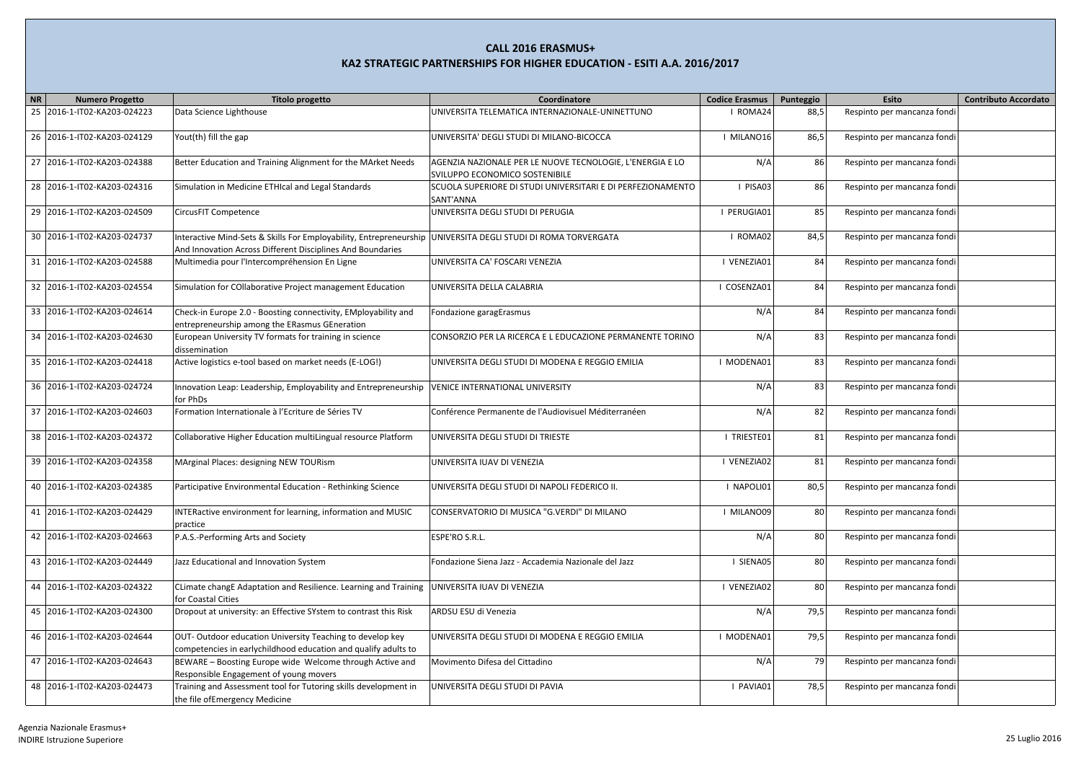| NR<br><b>Numero Progetto</b>   | <b>Titolo progetto</b>                                                                                                                                                     | Coordinatore                                                                                | <b>Codice Erasmus</b> | Punteggio | Esito                       | <b>Contributo Accordato</b> |
|--------------------------------|----------------------------------------------------------------------------------------------------------------------------------------------------------------------------|---------------------------------------------------------------------------------------------|-----------------------|-----------|-----------------------------|-----------------------------|
| 25<br>2016-1-IT02-KA203-024223 | Data Science Lighthouse                                                                                                                                                    | UNIVERSITA TELEMATICA INTERNAZIONALE-UNINETTUNO                                             | I ROMA24              | 88,5      | Respinto per mancanza fondi |                             |
| 26 2016-1-IT02-KA203-024129    | Yout(th) fill the gap                                                                                                                                                      | UNIVERSITA' DEGLI STUDI DI MILANO-BICOCCA                                                   | I MILANO16            | 86,5      | Respinto per mancanza fondi |                             |
| 27 2016-1-IT02-KA203-024388    | Better Education and Training Alignment for the MArket Needs                                                                                                               | AGENZIA NAZIONALE PER LE NUOVE TECNOLOGIE, L'ENERGIA E LO<br>SVILUPPO ECONOMICO SOSTENIBILE | N/A                   | 86        | Respinto per mancanza fondi |                             |
| 28 2016-1-IT02-KA203-024316    | Simulation in Medicine ETHIcal and Legal Standards                                                                                                                         | SCUOLA SUPERIORE DI STUDI UNIVERSITARI E DI PERFEZIONAMENTO<br>SANT'ANNA                    | I PISA03              | 86        | Respinto per mancanza fondi |                             |
| 29 2016-1-IT02-KA203-024509    | CircusFIT Competence                                                                                                                                                       | UNIVERSITA DEGLI STUDI DI PERUGIA                                                           | I PERUGIA01           | 85        | Respinto per mancanza fondi |                             |
| 30 2016-1-IT02-KA203-024737    | Interactive Mind-Sets & Skills For Employability, Entrepreneurship UNIVERSITA DEGLI STUDI DI ROMA TORVERGATA<br>And Innovation Across Different Disciplines And Boundaries |                                                                                             | I ROMA02              | 84,5      | Respinto per mancanza fondi |                             |
| 31 2016-1-IT02-KA203-024588    | Multimedia pour l'Intercompréhension En Ligne                                                                                                                              | UNIVERSITA CA' FOSCARI VENEZIA                                                              | I VENEZIA01           | 84        | Respinto per mancanza fondi |                             |
| 32 2016-1-IT02-KA203-024554    | Simulation for COllaborative Project management Education                                                                                                                  | UNIVERSITA DELLA CALABRIA                                                                   | I COSENZA01           | 84        | Respinto per mancanza fondi |                             |
| 33 2016-1-IT02-KA203-024614    | Check-in Europe 2.0 - Boosting connectivity, EMployability and<br>entrepreneurship among the ERasmus GEneration                                                            | Fondazione garagErasmus                                                                     | N/A                   | 84        | Respinto per mancanza fondi |                             |
| 34 2016-1-IT02-KA203-024630    | European University TV formats for training in science<br>dissemination                                                                                                    | CONSORZIO PER LA RICERCA E L EDUCAZIONE PERMANENTE TORINO                                   | N/A                   | 83        | Respinto per mancanza fondi |                             |
| 35 2016-1-IT02-KA203-024418    | Active logistics e-tool based on market needs (E-LOG!)                                                                                                                     | UNIVERSITA DEGLI STUDI DI MODENA E REGGIO EMILIA                                            | I MODENA01            | 83        | Respinto per mancanza fondi |                             |
| 36 2016-1-IT02-KA203-024724    | Innovation Leap: Leadership, Employability and Entrepreneurship<br>for PhDs                                                                                                | <b>VENICE INTERNATIONAL UNIVERSITY</b>                                                      | N/A                   | 83        | Respinto per mancanza fondi |                             |
| 37 2016-1-IT02-KA203-024603    | Formation Internationale à l'Ecriture de Séries TV                                                                                                                         | Conférence Permanente de l'Audiovisuel Méditerranéen                                        | N/A                   | 82        | Respinto per mancanza fondi |                             |
| 38 2016-1-IT02-KA203-024372    | Collaborative Higher Education multiLingual resource Platform                                                                                                              | UNIVERSITA DEGLI STUDI DI TRIESTE                                                           | I TRIESTE01           | 81        | Respinto per mancanza fondi |                             |
| 39 2016-1-IT02-KA203-024358    | MArginal Places: designing NEW TOURism                                                                                                                                     | UNIVERSITA IUAV DI VENEZIA                                                                  | I VENEZIA02           | 81        | Respinto per mancanza fondi |                             |
| 40 2016-1-IT02-KA203-024385    | Participative Environmental Education - Rethinking Science                                                                                                                 | UNIVERSITA DEGLI STUDI DI NAPOLI FEDERICO II.                                               | I NAPOLI01            | 80,5      | Respinto per mancanza fondi |                             |
| 41 2016-1-IT02-KA203-024429    | INTERactive environment for learning, information and MUSIC<br>practice                                                                                                    | CONSERVATORIO DI MUSICA "G.VERDI" DI MILANO                                                 | I MILANO09            | 80        | Respinto per mancanza fondi |                             |
| 42 2016-1-IT02-KA203-024663    | P.A.S.-Performing Arts and Society                                                                                                                                         | ESPE'RO S.R.L.                                                                              | N/A                   | 80        | Respinto per mancanza fondi |                             |
| 43 2016-1-IT02-KA203-024449    | Jazz Educational and Innovation System                                                                                                                                     | Fondazione Siena Jazz - Accademia Nazionale del Jazz                                        | I SIENA05             | 80        | Respinto per mancanza fondi |                             |
| 44 2016-1-IT02-KA203-024322    | CLimate changE Adaptation and Resilience. Learning and Training<br>for Coastal Cities                                                                                      | UNIVERSITA IUAV DI VENEZIA                                                                  | I VENEZIA02           | 80        | Respinto per mancanza fondi |                             |
| 45 2016-1-IT02-KA203-024300    | Dropout at university: an Effective SYstem to contrast this Risk                                                                                                           | ARDSU ESU di Venezia                                                                        | N/A                   | 79,5      | Respinto per mancanza fondi |                             |
| 46 2016-1-IT02-KA203-024644    | OUT-Outdoor education University Teaching to develop key<br>competencies in earlychildhood education and qualify adults to                                                 | UNIVERSITA DEGLI STUDI DI MODENA E REGGIO EMILIA                                            | I MODENA01            | 79,5      | Respinto per mancanza fondi |                             |
| 47 2016-1-IT02-KA203-024643    | BEWARE - Boosting Europe wide Welcome through Active and<br>Responsible Engagement of young movers                                                                         | Movimento Difesa del Cittadino                                                              | N/A                   | 79        | Respinto per mancanza fondi |                             |
| 48 2016-1-IT02-KA203-024473    | Training and Assessment tool for Tutoring skills development in<br>the file ofEmergency Medicine                                                                           | UNIVERSITA DEGLI STUDI DI PAVIA                                                             | I PAVIA01             | 78,5      | Respinto per mancanza fondi |                             |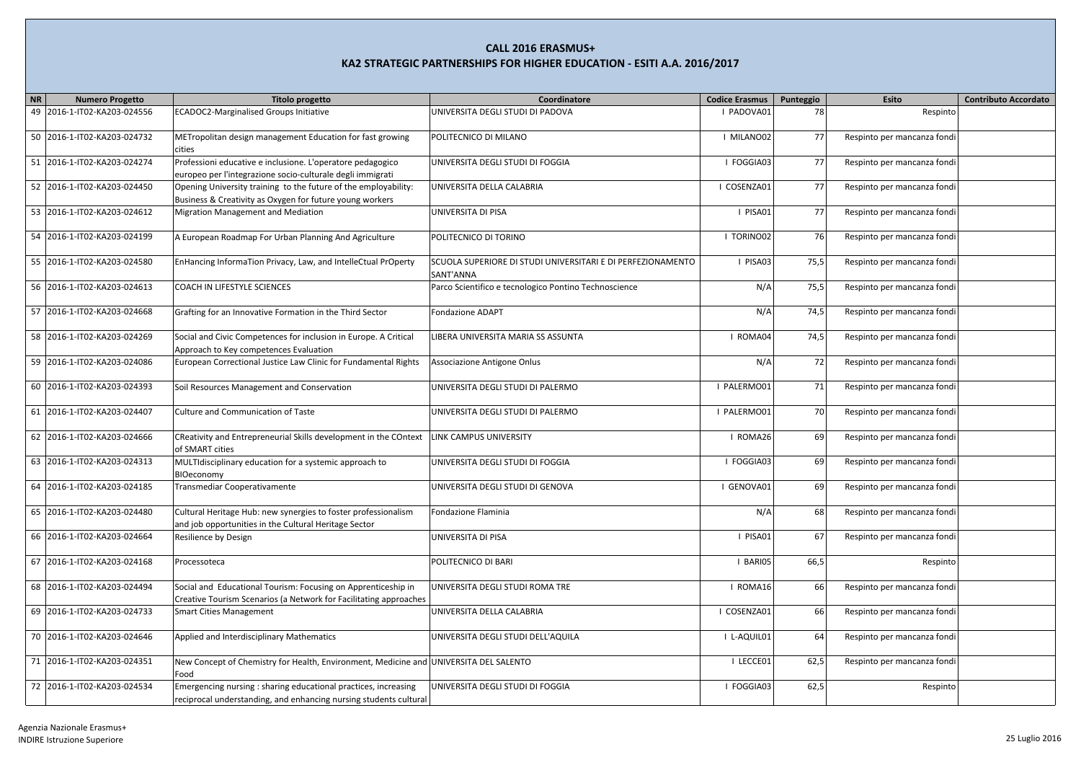| NR<br><b>Numero Progetto</b>   | <b>Titolo progetto</b>                                                                | Coordinatore                                                | <b>Codice Erasmus</b> | Punteggio | Esito                       | <b>Contributo Accordato</b> |
|--------------------------------|---------------------------------------------------------------------------------------|-------------------------------------------------------------|-----------------------|-----------|-----------------------------|-----------------------------|
| 49<br>2016-1-IT02-KA203-024556 | <b>ECADOC2-Marginalised Groups Initiative</b>                                         | UNIVERSITA DEGLI STUDI DI PADOVA                            | I PADOVA01            | 78        | Respinto                    |                             |
|                                |                                                                                       |                                                             |                       |           |                             |                             |
|                                |                                                                                       |                                                             | I MILANO02            | 77        |                             |                             |
| 50 2016-1-IT02-KA203-024732    | METropolitan design management Education for fast growing                             | POLITECNICO DI MILANO                                       |                       |           | Respinto per mancanza fondi |                             |
|                                | cities                                                                                |                                                             |                       |           |                             |                             |
| 51 2016-1-IT02-KA203-024274    | Professioni educative e inclusione. L'operatore pedagogico                            | UNIVERSITA DEGLI STUDI DI FOGGIA                            | I FOGGIA03            | 77        | Respinto per mancanza fondi |                             |
|                                | europeo per l'integrazione socio-culturale degli immigrati                            |                                                             |                       |           |                             |                             |
| 52 2016-1-IT02-KA203-024450    | Opening University training to the future of the employability:                       | UNIVERSITA DELLA CALABRIA                                   | I COSENZA01           | 77        | Respinto per mancanza fondi |                             |
|                                | Business & Creativity as Oxygen for future young workers                              |                                                             |                       |           |                             |                             |
| 53 2016-1-IT02-KA203-024612    | Migration Management and Mediation                                                    | UNIVERSITA DI PISA                                          | I PISA01              | 77        | Respinto per mancanza fondi |                             |
|                                |                                                                                       |                                                             |                       |           |                             |                             |
| 54 2016-1-IT02-KA203-024199    | A European Roadmap For Urban Planning And Agriculture                                 | POLITECNICO DI TORINO                                       | I TORINO02            | 76        | Respinto per mancanza fondi |                             |
|                                |                                                                                       |                                                             |                       |           |                             |                             |
| 55 2016-1-IT02-KA203-024580    | EnHancing InformaTion Privacy, Law, and IntelleCtual PrOperty                         | SCUOLA SUPERIORE DI STUDI UNIVERSITARI E DI PERFEZIONAMENTO | I PISA03              | 75,5      | Respinto per mancanza fondi |                             |
|                                |                                                                                       | SANT'ANNA                                                   |                       |           |                             |                             |
| 56 2016-1-IT02-KA203-024613    | COACH IN LIFESTYLE SCIENCES                                                           | Parco Scientifico e tecnologico Pontino Technoscience       | N/A                   | 75,5      | Respinto per mancanza fondi |                             |
|                                |                                                                                       |                                                             |                       |           |                             |                             |
| 57 2016-1-IT02-KA203-024668    | Grafting for an Innovative Formation in the Third Sector                              | <b>Fondazione ADAPT</b>                                     | N/A                   | 74,5      | Respinto per mancanza fondi |                             |
|                                |                                                                                       |                                                             |                       |           |                             |                             |
| 58 2016-1-IT02-KA203-024269    | Social and Civic Competences for inclusion in Europe. A Critical                      | LIBERA UNIVERSITA MARIA SS ASSUNTA                          | I ROMA04              | 74,5      | Respinto per mancanza fondi |                             |
|                                | Approach to Key competences Evaluation                                                |                                                             |                       |           |                             |                             |
| 59 2016-1-IT02-KA203-024086    | European Correctional Justice Law Clinic for Fundamental Rights                       | Associazione Antigone Onlus                                 | N/A                   | 72        | Respinto per mancanza fondi |                             |
|                                |                                                                                       |                                                             |                       |           |                             |                             |
| 60 2016-1-IT02-KA203-024393    |                                                                                       | UNIVERSITA DEGLI STUDI DI PALERMO                           | I PALERMO01           |           |                             |                             |
|                                | Soil Resources Management and Conservation                                            |                                                             |                       | 71        | Respinto per mancanza fondi |                             |
|                                |                                                                                       |                                                             |                       |           |                             |                             |
| 2016-1-IT02-KA203-024407<br>61 | <b>Culture and Communication of Taste</b>                                             | UNIVERSITA DEGLI STUDI DI PALERMO                           | I PALERMO01           | 70        | Respinto per mancanza fondi |                             |
|                                |                                                                                       |                                                             |                       |           |                             |                             |
| 62 2016-1-IT02-KA203-024666    | CReativity and Entrepreneurial Skills development in the COntext                      | LINK CAMPUS UNIVERSITY                                      | I ROMA26              | 69        | Respinto per mancanza fondi |                             |
|                                | of SMART cities                                                                       |                                                             |                       |           |                             |                             |
| 63 2016-1-IT02-KA203-024313    | MULTIdisciplinary education for a systemic approach to                                | UNIVERSITA DEGLI STUDI DI FOGGIA                            | I FOGGIA03            | 69        | Respinto per mancanza fondi |                             |
|                                | BIOeconomy                                                                            |                                                             |                       |           |                             |                             |
| 64 2016-1-IT02-KA203-024185    | Transmediar Cooperativamente                                                          | UNIVERSITA DEGLI STUDI DI GENOVA                            | I GENOVA01            | 69        | Respinto per mancanza fondi |                             |
|                                |                                                                                       |                                                             |                       |           |                             |                             |
| 65 2016-1-IT02-KA203-024480    | Cultural Heritage Hub: new synergies to foster professionalism                        | Fondazione Flaminia                                         | N/A                   | 68        | Respinto per mancanza fondi |                             |
|                                | and job opportunities in the Cultural Heritage Sector                                 |                                                             |                       |           |                             |                             |
| 66 2016-1-IT02-KA203-024664    | Resilience by Design                                                                  | UNIVERSITA DI PISA                                          | I PISA01              | 67        | Respinto per mancanza fondi |                             |
|                                |                                                                                       |                                                             |                       |           |                             |                             |
| 67 2016-1-IT02-KA203-024168    | Processoteca                                                                          | POLITECNICO DI BARI                                         | I BARIO5              | 66,5      | Respinto                    |                             |
|                                |                                                                                       |                                                             |                       |           |                             |                             |
| 68 2016-1-IT02-KA203-024494    | Social and Educational Tourism: Focusing on Apprenticeship in                         | UNIVERSITA DEGLI STUDI ROMA TRE                             | I ROMA16              | 66        | Respinto per mancanza fondi |                             |
|                                | Creative Tourism Scenarios (a Network for Facilitating approaches                     |                                                             |                       |           |                             |                             |
| 69 2016-1-IT02-KA203-024733    | <b>Smart Cities Management</b>                                                        | UNIVERSITA DELLA CALABRIA                                   | I COSENZA01           | 66        | Respinto per mancanza fondi |                             |
|                                |                                                                                       |                                                             |                       |           |                             |                             |
| 70 2016-1-IT02-KA203-024646    | Applied and Interdisciplinary Mathematics                                             | UNIVERSITA DEGLI STUDI DELL'AQUILA                          | I L-AQUIL01           | 64        | Respinto per mancanza fondi |                             |
|                                |                                                                                       |                                                             |                       |           |                             |                             |
| 71 2016-1-IT02-KA203-024351    | New Concept of Chemistry for Health, Environment, Medicine and UNIVERSITA DEL SALENTO |                                                             | I LECCE01             | 62,5      | Respinto per mancanza fondi |                             |
|                                | Food                                                                                  |                                                             |                       |           |                             |                             |
| 72 2016-1-IT02-KA203-024534    | Emergencing nursing : sharing educational practices, increasing                       | UNIVERSITA DEGLI STUDI DI FOGGIA                            | I FOGGIA03            | 62,5      | Respinto                    |                             |
|                                |                                                                                       |                                                             |                       |           |                             |                             |
|                                | reciprocal understanding, and enhancing nursing students cultural                     |                                                             |                       |           |                             |                             |